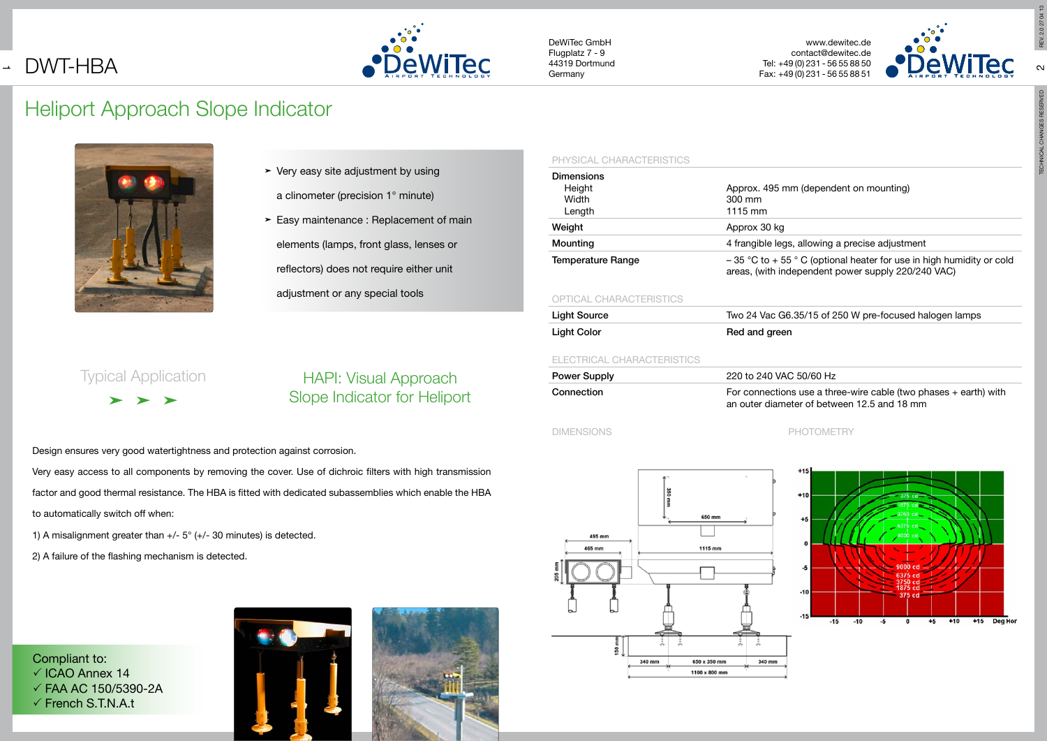#### PHYSICAL CHARACTERISTICS

| <b>Dimensions</b><br>Height | Approx. 495 m                         |
|-----------------------------|---------------------------------------|
| Width                       | 300 mm                                |
| Length                      | 1115 mm                               |
| Weight                      | Approx 30 kg                          |
| Mounting                    | 4 frangible legs                      |
| <b>Temperature Range</b>    | $-35$ °C to $+55$<br>areas. (with inc |

## OPTICAL CHARACTERISTICS

| <b>Light Source</b> | Two 24 Vac G6. |
|---------------------|----------------|
| Light Color         | Red and green  |

 $\blacktriangleright$  Easy maintenance : Replacement of main elements (lamps, front glass, lenses or reflectors) does not require either unit adjustment or any special tools

## ELECTRICAL CHARACTERISTICS

| <b>Power Supply</b> | 220 to 240 VAC 50/60 Hz                                                                                           |
|---------------------|-------------------------------------------------------------------------------------------------------------------|
| Connection          | For connections use a three-wire cable (two phases $+$ earth) with<br>an outer diameter of between 12.5 and 18 mm |





## DIMENSIONS PHOTOMETRY

# Heliport Approach Slope Indicator



 $\blacktriangleright$  Very easy site adjustment by using

## $>$  and  $>$ Typical Application

Compliant to:  $\checkmark$  ICAO Annex 14  $\checkmark$  FAA AC 150/5390-2A  $\checkmark$  French S.T.N.A.t





## $\overline{\phantom{0}}$ DWT-HBA



a clinometer (precision 1° minute)

Design ensures very good watertightness and protection against corrosion.

Very easy access to all components by removing the cover. Use of dichroic filters with high transmission factor and good thermal resistance. The HBA is fitted with dedicated subassemblies which enable the HBA to automatically switch off when:

1) A misalignment greater than  $+/- 5^{\circ}$  ( $+/- 30$  minutes) is detected.

2) A failure of the flashing mechanism is detected.

## HAPI: Visual Approach Slope Indicator for Heliport

# REV. 2.0 27 04 13

 $\sim$ 

 $\sim$ 

## am (dependent on mounting)

## s, allowing a precise adjustment

 $5 \text{ }^{\circ}$  C (optional heater for use in high humidity or cold dependent power supply 220/240 VAC)

## .35/15 of 250 W pre-focused halogen lamps

## $C<sub>50/60 Hz</sub>$